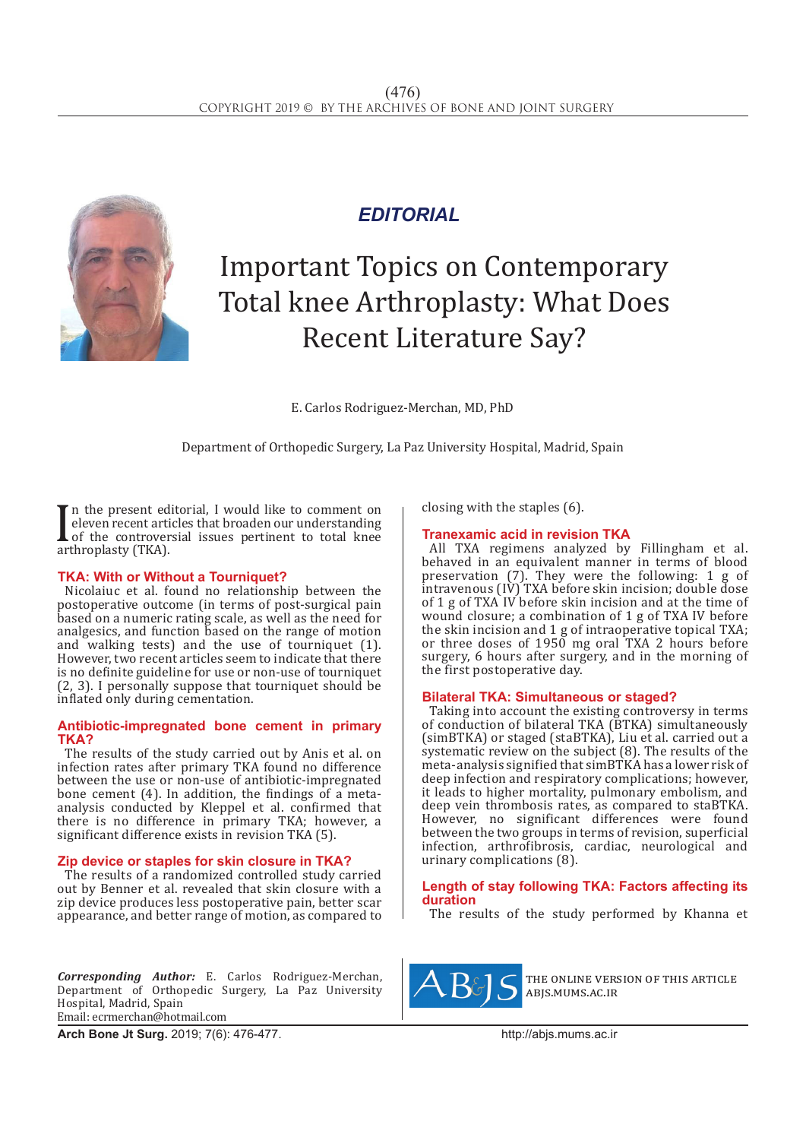

# *EDITORIAL*

# Important Topics on Contemporary Total knee Arthroplasty: What Does Recent Literature Say?

E. Carlos Rodriguez-Merchan, MD, PhD

Department of Orthopedic Surgery, La Paz University Hospital, Madrid, Spain

**If** the present edge<br>eleven recent article<br>of the controver<br>arthroplasty (TKA). In the present editorial, I would like to comment on eleven recent articles that broaden our understanding of the controversial issues pertinent to total knee

## **TKA: With or Without a Tourniquet?**

Nicolaiuc et al. found no relationship between the postoperative outcome (in terms of post-surgical pain based on a numeric rating scale, as well as the need for analgesics, and function based on the range of motion and walking tests) and the use of tourniquet (1). However, two recent articles seem to indicate that there is no definite guideline for use or non-use of tourniquet (2, 3). I personally suppose that tourniquet should be inflated only during cementation.

#### **Antibiotic-impregnated bone cement in primary TKA?**

The results of the study carried out by Anis et al. on infection rates after primary TKA found no difference between the use or non-use of antibiotic-impregnated bone cement  $(4)$ . In addition, the findings of a metaanalysis conducted by Kleppel et al. confirmed that there is no difference in primary TKA; however, a significant difference exists in revision TKA (5).

## **Zip device or staples for skin closure in TKA?**

The results of a randomized controlled study carried out by Benner et al. revealed that skin closure with a zip device produces less postoperative pain, better scar appearance, and better range of motion, as compared to

*Corresponding Author:* E. Carlos Rodriguez-Merchan, Department of Orthopedic Surgery, La Paz University Hospital, Madrid, Spain Email: ecrmerchan@hotmail.com

closing with the staples (6).

## **Tranexamic acid in revision TKA**

All TXA regimens analyzed by Fillingham et al. behaved in an equivalent manner in terms of blood preservation (7). They were the following: 1 g of intravenous (IV) TXA before skin incision; double dose of 1 g of TXA IV before skin incision and at the time of wound closure; a combination of 1 g of TXA IV before the skin incision and 1 g of intraoperative topical TXA; or three doses of 1950 mg oral TXA 2 hours before surgery, 6 hours after surgery, and in the morning of the first postoperative day.

## **Bilateral TKA: Simultaneous or staged?**

Taking into account the existing controversy in terms of conduction of bilateral TKA (BTKA) simultaneously (simBTKA) or staged (staBTKA), Liu et al. carried out a systematic review on the subject (8). The results of the meta-analysis signified that simBTKA has a lower risk of deep infection and respiratory complications; however, it leads to higher mortality, pulmonary embolism, and deep vein thrombosis rates, as compared to staBTKA. However, no significant differences were found between the two groups in terms of revision, superficial infection, arthrofibrosis, cardiac, neurological and urinary complications (8).

#### **Length of stay following TKA: Factors affecting its duration**

The results of the study performed by Khanna et



the online version of this article abjs.mums.ac.ir

**Arch Bone Jt Surg.** 2019; 7(6): 476-477.http://abjs.mums.ac.ir